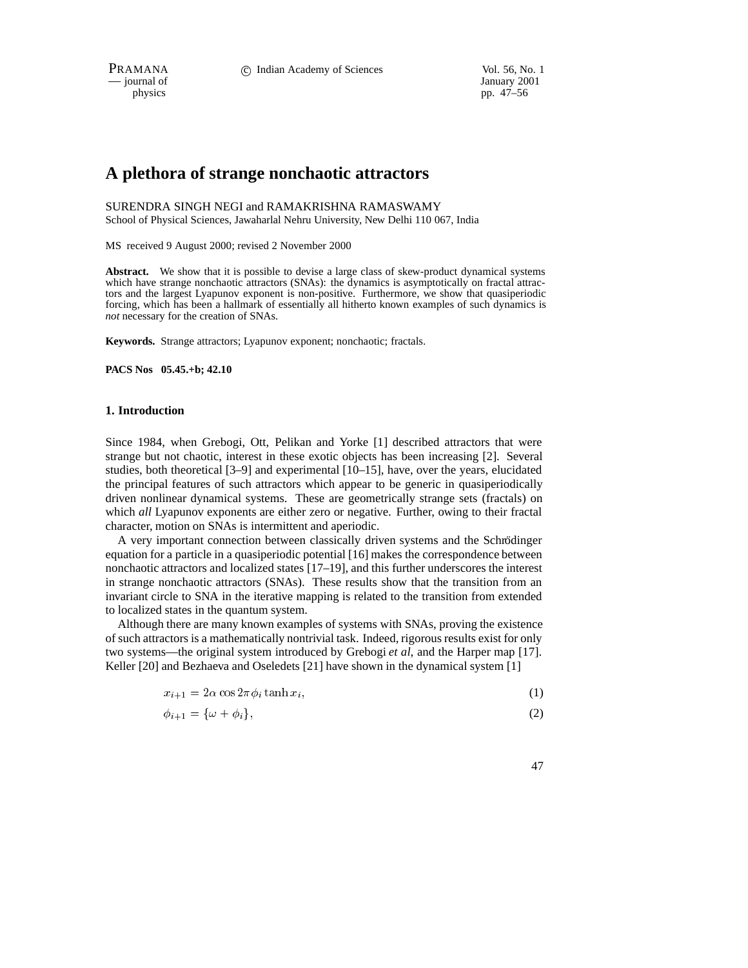PRAMANA 
<sup>c</sup> Indian Academy of Sciences Vol. 56, No. 1 University 2001

physics and the interval of January 2001<br>
physics pp. 47–56 pp. 47–56

# **A plethora of strange nonchaotic attractors**

SURENDRA SINGH NEGI and RAMAKRISHNA RAMASWAMY School of Physical Sciences, Jawaharlal Nehru University, New Delhi 110 067, India

MS received 9 August 2000; revised 2 November 2000

**Abstract.** We show that it is possible to devise a large class of skew-product dynamical systems which have strange nonchaotic attractors (SNAs): the dynamics is asymptotically on fractal attractors and the largest Lyapunov exponent is non-positive. Furthermore, we show that quasiperiodic forcing, which has been a hallmark of essentially all hitherto known examples of such dynamics is *not* necessary for the creation of SNAs.

**Keywords.** Strange attractors; Lyapunov exponent; nonchaotic; fractals.

**PACS Nos 05.45.+b; 42.10**

# **1. Introduction**

Since 1984, when Grebogi, Ott, Pelikan and Yorke [1] described attractors that were strange but not chaotic, interest in these exotic objects has been increasing [2]. Several studies, both theoretical [3–9] and experimental [10–15], have, over the years, elucidated the principal features of such attractors which appear to be generic in quasiperiodically driven nonlinear dynamical systems. These are geometrically strange sets (fractals) on which *all* Lyapunov exponents are either zero or negative. Further, owing to their fractal character, motion on SNAs is intermittent and aperiodic.

A very important connection between classically driven systems and the Schrödinger equation for a particle in a quasiperiodic potential [16] makes the correspondence between nonchaotic attractors and localized states [17–19], and this further underscores the interest in strange nonchaotic attractors (SNAs). These results show that the transition from an invariant circle to SNA in the iterative mapping is related to the transition from extended to localized states in the quantum system.

Although there are many known examples of systems with SNAs, proving the existence of such attractors is a mathematically nontrivial task. Indeed, rigorous results exist for only two systems—the original system introduced by Grebogi *et al*, and the Harper map [17]. Keller [20] and Bezhaeva and Oseledets [21] have shown in the dynamical system [1]

$$
x_{i+1} = 2\alpha \cos 2\pi \phi_i \tanh x_i,\tag{1}
$$

$$
\phi_{i+1} = \{\omega + \phi_i\},\tag{2}
$$

47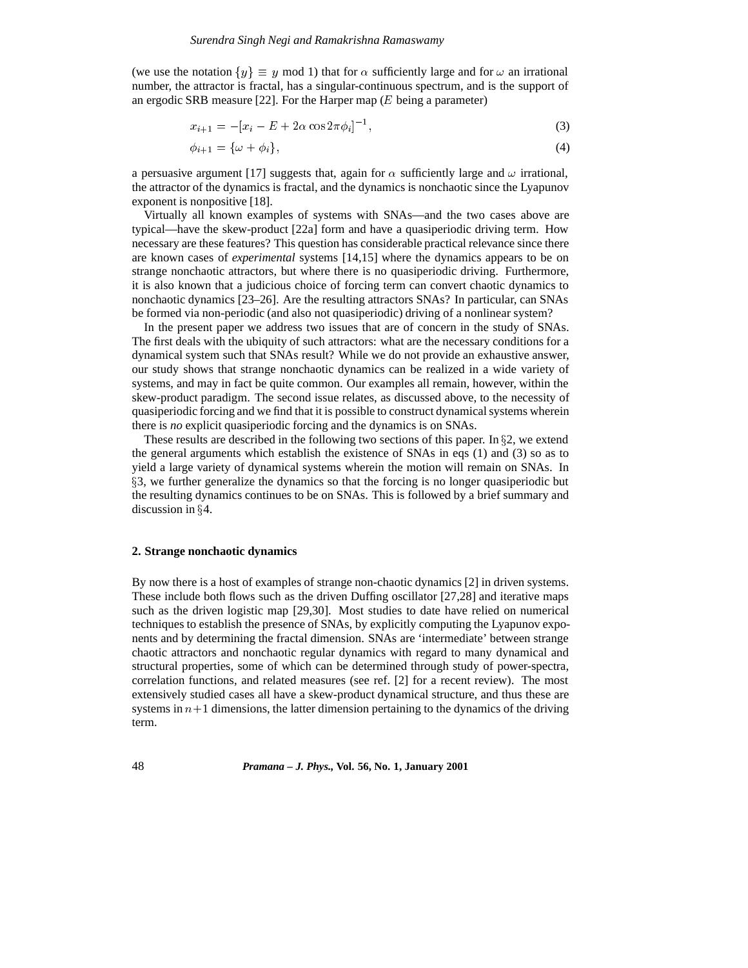(we use the notation  $\{y\} \equiv y \mod 1$ ) that for  $\alpha$  sufficiently large and for  $\omega$  an irrational number, the attractor is fractal, has a singular-continuous spectrum, and is the support of an ergodic SRB measure [22]. For the Harper map  $(E$  being a parameter)

$$
x_{i+1} = -[x_i - E + 2\alpha \cos 2\pi \phi_i]^{-1},\tag{3}
$$

$$
\phi_{i+1} = \{\omega + \phi_i\},\tag{4}
$$

a persuasive argument [17] suggests that, again for  $\alpha$  sufficiently large and  $\omega$  irrational, the attractor of the dynamics is fractal, and the dynamics is nonchaotic since the Lyapunov exponent is nonpositive [18].

Virtually all known examples of systems with SNAs—and the two cases above are typical—have the skew-product [22a] form and have a quasiperiodic driving term. How necessary are these features? This question has considerable practical relevance since there are known cases of *experimental* systems [14,15] where the dynamics appears to be on strange nonchaotic attractors, but where there is no quasiperiodic driving. Furthermore, it is also known that a judicious choice of forcing term can convert chaotic dynamics to nonchaotic dynamics [23–26]. Are the resulting attractors SNAs? In particular, can SNAs be formed via non-periodic (and also not quasiperiodic) driving of a nonlinear system?

In the present paper we address two issues that are of concern in the study of SNAs. The first deals with the ubiquity of such attractors: what are the necessary conditions for a dynamical system such that SNAs result? While we do not provide an exhaustive answer, our study shows that strange nonchaotic dynamics can be realized in a wide variety of systems, and may in fact be quite common. Our examples all remain, however, within the skew-product paradigm. The second issue relates, as discussed above, to the necessity of quasiperiodic forcing and we find that it is possible to construct dynamical systems wherein there is *no* explicit quasiperiodic forcing and the dynamics is on SNAs.

These results are described in the following two sections of this paper. In  $\S$ 2, we extend the general arguments which establish the existence of SNAs in eqs (1) and (3) so as to yield a large variety of dynamical systems wherein the motion will remain on SNAs. In x3, we further generalize the dynamics so that the forcing is no longer quasiperiodic but the resulting dynamics continues to be on SNAs. This is followed by a brief summary and discussion in  $§4$ .

# **2. Strange nonchaotic dynamics**

By now there is a host of examples of strange non-chaotic dynamics [2] in driven systems. These include both flows such as the driven Duffing oscillator [27,28] and iterative maps such as the driven logistic map [29,30]. Most studies to date have relied on numerical techniques to establish the presence of SNAs, by explicitly computing the Lyapunov exponents and by determining the fractal dimension. SNAs are 'intermediate' between strange chaotic attractors and nonchaotic regular dynamics with regard to many dynamical and structural properties, some of which can be determined through study of power-spectra, correlation functions, and related measures (see ref. [2] for a recent review). The most extensively studied cases all have a skew-product dynamical structure, and thus these are systems in  $n+1$  dimensions, the latter dimension pertaining to the dynamics of the driving term.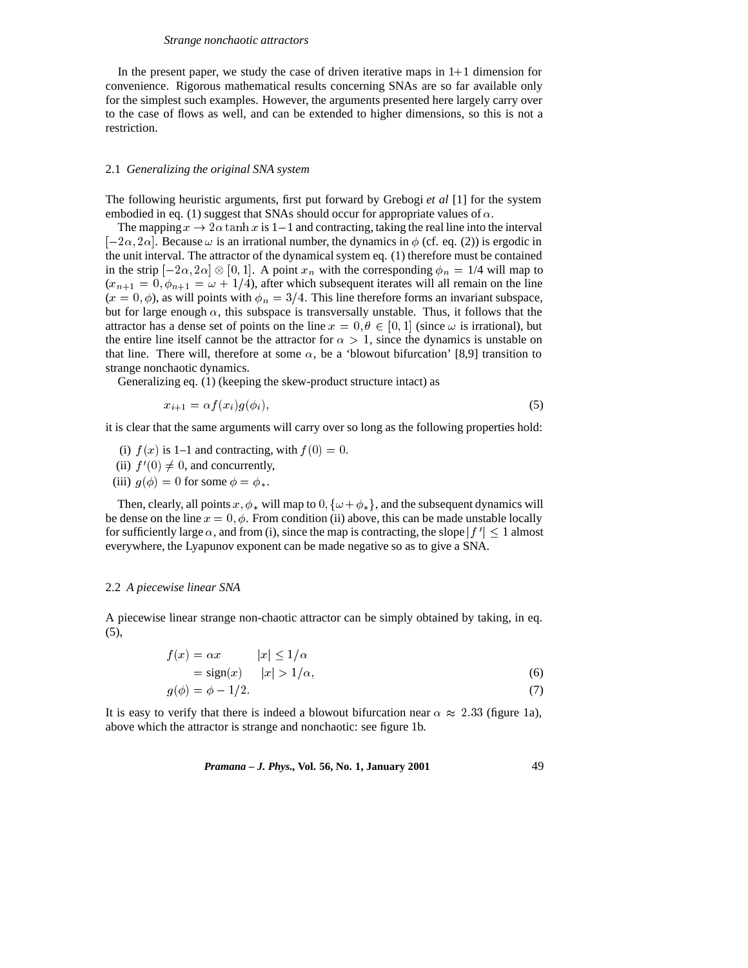#### *Strange nonchaotic attractors*

In the present paper, we study the case of driven iterative maps in  $1+1$  dimension for convenience. Rigorous mathematical results concerning SNAs are so far available only for the simplest such examples. However, the arguments presented here largely carry over to the case of flows as well, and can be extended to higher dimensions, so this is not a restriction.

### 2.1 *Generalizing the original SNA system*

The following heuristic arguments, first put forward by Grebogi *et al* [1] for the system embodied in eq. (1) suggest that SNAs should occur for appropriate values of  $\alpha$ .

The mapping  $x \to 2\alpha \tanh x$  is 1-1 and contracting, taking the real line into the interval  $[-2\alpha, 2\alpha]$ . Because  $\omega$  is an irrational number, the dynamics in  $\phi$  (cf. eq. (2)) is ergodic in the unit interval. The attractor of the dynamical system eq. (1) therefore must be contained in the strip  $[-2\alpha, 2\alpha] \otimes [0, 1]$ . A point  $x_n$  with the corresponding  $\phi_n = 1/4$  will map to  $(x_{n+1} = 0, \phi_{n+1} = \omega + 1/4)$ , after which subsequent iterates will all remain on the line  $(x = 0, \phi)$ , as will points with  $\phi_n = 3/4$ . This line therefore forms an invariant subspace, but for large enough  $\alpha$ , this subspace is transversally unstable. Thus, it follows that the attractor has a dense set of points on the line  $x = 0, \theta \in [0, 1]$  (since  $\omega$  is irrational), but the entire line itself cannot be the attractor for  $\alpha > 1$ , since the dynamics is unstable on that line. There will, therefore at some  $\alpha$ , be a 'blowout bifurcation' [8,9] transition to strange nonchaotic dynamics.

Generalizing eq. (1) (keeping the skew-product structure intact) as

$$
x_{i+1} = \alpha f(x_i) g(\phi_i), \tag{5}
$$

it is clear that the same arguments will carry over so long as the following properties hold:

- (i)  $f(x)$  is 1–1 and contracting, with  $f(0) = 0$ .
- (ii)  $f'(0) \neq 0$ , and concurrently,
- (iii)  $g(\phi)=0$  for some  $\phi = \phi_*$ .

Then, clearly, all points x,  $\phi_*$  will map to 0,  $\{\omega + \phi_*\}$ , and the subsequent dynamics will be dense on the line  $x = 0, \phi$ . From condition (ii) above, this can be made unstable locally for sufficiently large  $\alpha$ , and from (i), since the map is contracting, the slope  $|f'| < 1$  almost everywhere, the Lyapunov exponent can be made negative so as to give a SNA.

# 2.2 *A piecewise linear SNA*

A piecewise linear strange non-chaotic attractor can be simply obtained by taking, in eq. (5),

$$
f(x) = \alpha x \qquad |x| \le 1/\alpha
$$
  
= sign(x) |x| > 1/\alpha, (6)

$$
g(\phi) = \phi - 1/2. \tag{7}
$$

It is easy to verify that there is indeed a blowout bifurcation near  $\alpha \approx 2.33$  (figure 1a), above which the attractor is strange and nonchaotic: see figure 1b.

*Pramana – J. Phys.,* **Vol. 56, No. 1, January 2001** 49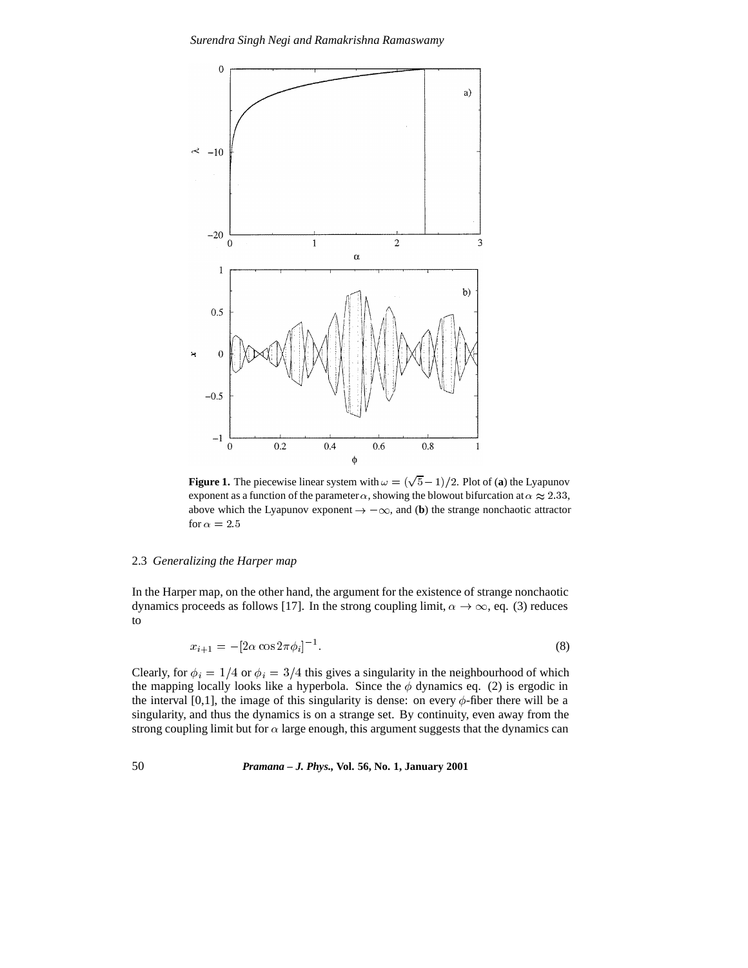

**Figure 1.** The piecewise linear system with  $\omega = (\sqrt{5} - 1)/2$ . Plot of (a) the Lyapunov exponent as a function of the parameter  $\alpha$ , showing the blowout bifurcation at  $\alpha \approx 2.33$ , above which the Lyapunov exponent  $\rightarrow -\infty$ , and (**b**) the strange nonchaotic attractor for  $\alpha=2.5$ 

# 2.3 *Generalizing the Harper map*

In the Harper map, on the other hand, the argument for the existence of strange nonchaotic dynamics proceeds as follows [17]. In the strong coupling limit,  $\alpha \to \infty$ , eq. (3) reduces to

$$
x_{i+1} = -[2\alpha \cos 2\pi \phi_i]^{-1}.
$$
\n(8)

Clearly, for  $\phi_i = 1/4$  or  $\phi_i = 3/4$  this gives a singularity in the neighbourhood of which the mapping locally looks like a hyperbola. Since the  $\phi$  dynamics eq. (2) is ergodic in the interval [0,1], the image of this singularity is dense: on every  $\phi$ -fiber there will be a singularity, and thus the dynamics is on a strange set. By continuity, even away from the strong coupling limit but for  $\alpha$  large enough, this argument suggests that the dynamics can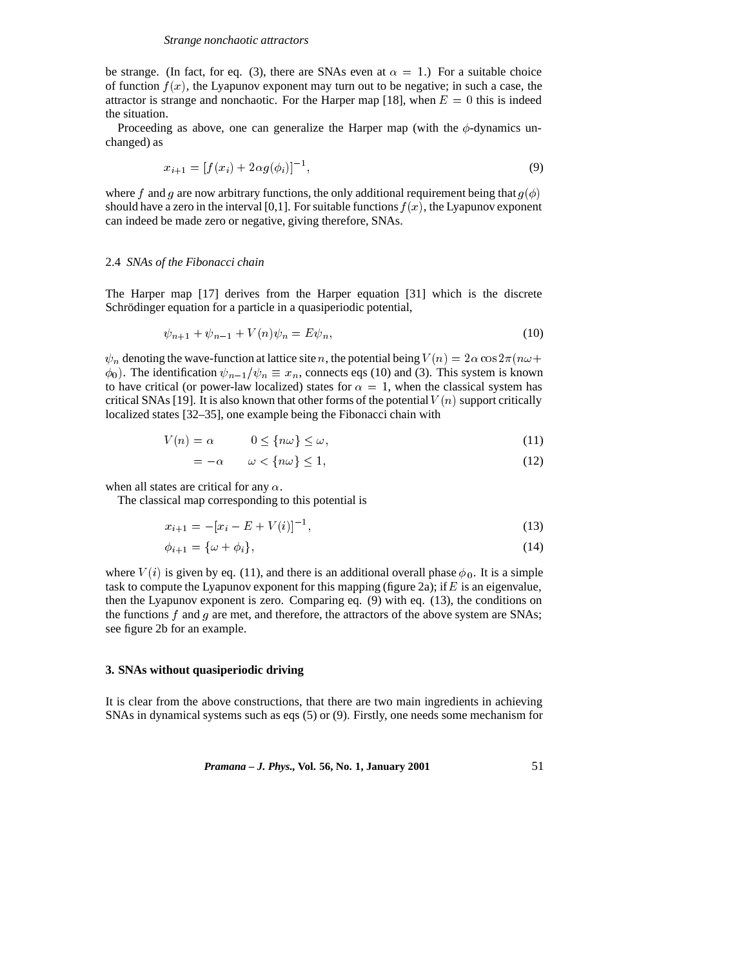be strange. (In fact, for eq. (3), there are SNAs even at  $\alpha = 1$ .) For a suitable choice of function  $f(x)$ , the Lyapunov exponent may turn out to be negative; in such a case, the attractor is strange and nonchaotic. For the Harper map [18], when  $E = 0$  this is indeed the situation.

Proceeding as above, one can generalize the Harper map (with the  $\phi$ -dynamics unchanged) as

$$
x_{i+1} = [f(x_i) + 2\alpha g(\phi_i)]^{-1},\tag{9}
$$

where f and g are now arbitrary functions, the only additional requirement being that  $g(\phi)$ should have a zero in the interval [0,1]. For suitable functions  $f(x)$ , the Lyapunov exponent can indeed be made zero or negative, giving therefore, SNAs.

# 2.4 *SNAs of the Fibonacci chain*

The Harper map [17] derives from the Harper equation [31] which is the discrete Schrödinger equation for a particle in a quasiperiodic potential,

$$
\psi_{n+1} + \psi_{n-1} + V(n)\psi_n = E\psi_n,\tag{10}
$$

 $\psi_n$  denoting the wave-function at lattice site n, the potential being  $V(n)=2\alpha \cos 2\pi(n\omega+$  $\phi_0$ ). The identification  $\psi_{n-1}/\psi_n \equiv x_n$ , connects eqs (10) and (3). This system is known to have critical (or power-law localized) states for  $\alpha = 1$ , when the classical system has critical SNAs [19]. It is also known that other forms of the potential  $V(n)$  support critically localized states [32–35], one example being the Fibonacci chain with

$$
V(n) = \alpha \qquad 0 \le \{n\omega\} \le \omega,
$$
\n<sup>(11)</sup>

$$
=-\alpha \qquad \omega < \{n\omega\} \le 1,\tag{12}
$$

when all states are critical for any  $\alpha$ .

The classical map corresponding to this potential is

$$
x_{i+1} = -[x_i - E + V(i)]^{-1},\tag{13}
$$

$$
\phi_{i+1} = \{\omega + \phi_i\},\tag{14}
$$

where  $V(i)$  is given by eq. (11), and there is an additional overall phase  $\phi_0$ . It is a simple task to compute the Lyapunov exponent for this mapping (figure 2a); if  $E$  is an eigenvalue, then the Lyapunov exponent is zero. Comparing eq. (9) with eq. (13), the conditions on the functions  $f$  and  $g$  are met, and therefore, the attractors of the above system are SNAs; see figure 2b for an example.

# **3. SNAs without quasiperiodic driving**

It is clear from the above constructions, that there are two main ingredients in achieving SNAs in dynamical systems such as eqs (5) or (9). Firstly, one needs some mechanism for

*Pramana – J. Phys.,* **Vol. 56, No. 1, January 2001** 51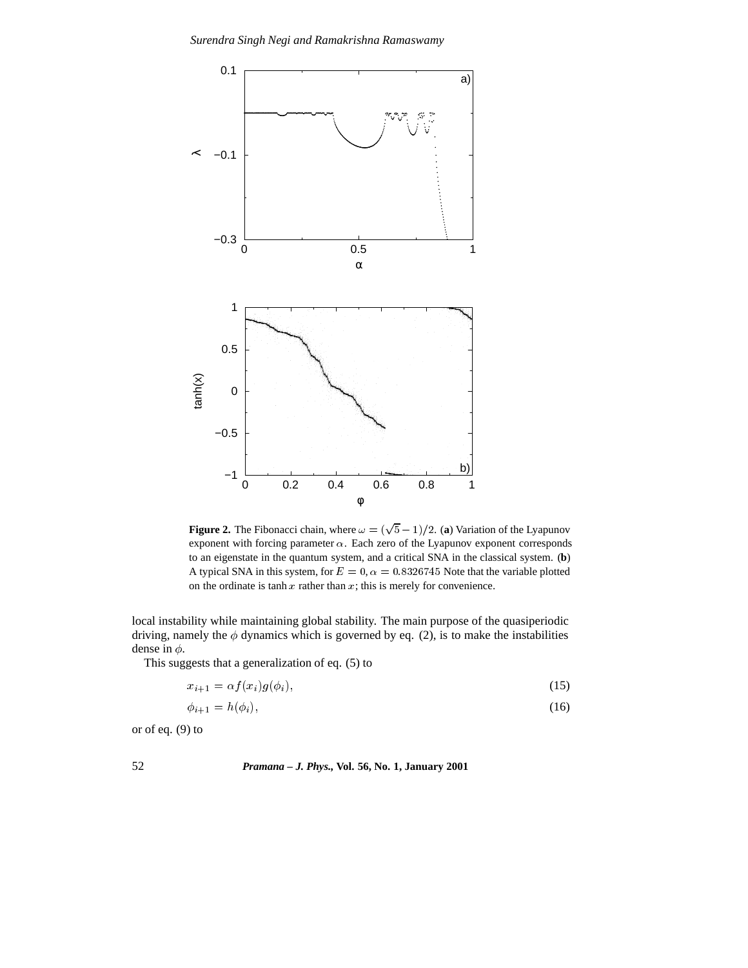

**Figure 2.** The Fibonacci chain, where  $\omega = (\sqrt{5} - 1)/2$ . (a) Variation of the Lyapunov exponent with forcing parameter  $\alpha$ . Each zero of the Lyapunov exponent corresponds to an eigenstate in the quantum system, and a critical SNA in the classical system. (**b**) A typical SNA in this system, for  $E = 0$ ,  $\alpha = 0.8326745$  Note that the variable plotted on the ordinate is tanh  $x$  rather than  $x$ ; this is merely for convenience.

local instability while maintaining global stability. The main purpose of the quasiperiodic driving, namely the  $\phi$  dynamics which is governed by eq. (2), is to make the instabilities dense in  $\phi$ .

This suggests that a generalization of eq. (5) to

$$
x_{i+1} = \alpha f(x_i)g(\phi_i),\tag{15}
$$

$$
\phi_{i+1} = h(\phi_i),\tag{16}
$$

or of eq. (9) to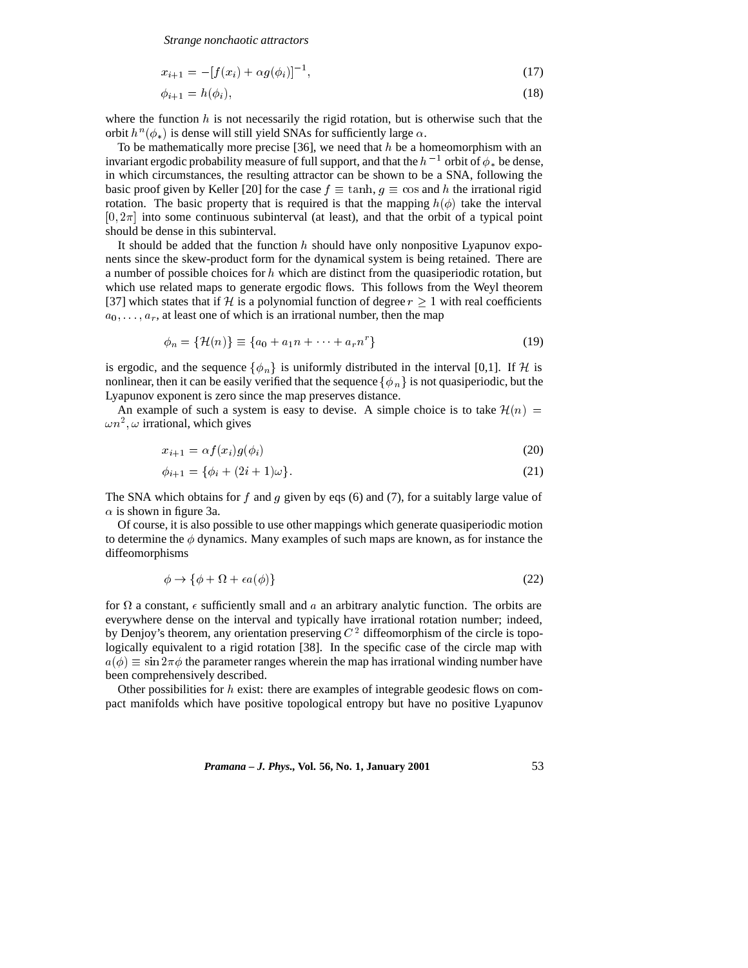*Strange nonchaotic attractors*

$$
x_{i+1} = -[f(x_i) + \alpha g(\phi_i)]^{-1}, \tag{17}
$$

$$
\phi_{i+1} = h(\phi_i),\tag{18}
$$

where the function  $h$  is not necessarily the rigid rotation, but is otherwise such that the orbit  $h^n(\phi_*)$  is dense will still yield SNAs for sufficiently large  $\alpha$ .

To be mathematically more precise [36], we need that  $h$  be a homeomorphism with an invariant ergodic probability measure of full support, and that the  $h^{-1}$  orbit of  $\phi_*$  be dense, in which circumstances, the resulting attractor can be shown to be a SNA, following the basic proof given by Keller [20] for the case  $f \equiv \tanh$ ,  $g \equiv \cos$  and h the irrational rigid rotation. The basic property that is required is that the mapping  $h(\phi)$  take the interval  $[0, 2\pi]$  into some continuous subinterval (at least), and that the orbit of a typical point should be dense in this subinterval.

It should be added that the function  $h$  should have only nonpositive Lyapunov exponents since the skew-product form for the dynamical system is being retained. There are a number of possible choices for  $h$  which are distinct from the quasiperiodic rotation, but which use related maps to generate ergodic flows. This follows from the Weyl theorem [37] which states that if H is a polynomial function of degree  $r \geq 1$  with real coefficients  $a_0, \ldots, a_r$ , at least one of which is an irrational number, then the map

$$
\phi_n = \{ \mathcal{H}(n) \} \equiv \{ a_0 + a_1 n + \dots + a_r n^r \}
$$
\n(19)

is ergodic, and the sequence  $\{\phi_n\}$  is uniformly distributed in the interval [0,1]. If H is nonlinear, then it can be easily verified that the sequence  $\{\phi_n\}$  is not quasiperiodic, but the Lyapunov exponent is zero since the map preserves distance.

An example of such a system is easy to devise. A simple choice is to take  $\mathcal{H}(n)$  =  $\omega n^2$ ,  $\omega$  irrational, which gives

$$
x_{i+1} = \alpha f(x_i) g(\phi_i) \tag{20}
$$

$$
\phi_{i+1} = \{\phi_i + (2i+1)\omega\}.
$$
\n(21)

The SNA which obtains for f and g given by eqs  $(6)$  and  $(7)$ , for a suitably large value of  $\alpha$  is shown in figure 3a.

Of course, it is also possible to use other mappings which generate quasiperiodic motion to determine the  $\phi$  dynamics. Many examples of such maps are known, as for instance the diffeomorphisms

$$
\phi \to \{\phi + \Omega + \epsilon a(\phi)\}\tag{22}
$$

for  $\Omega$  a constant,  $\epsilon$  sufficiently small and a an arbitrary analytic function. The orbits are everywhere dense on the interval and typically have irrational rotation number; indeed, by Denjoy's theorem, any orientation preserving  $C<sup>2</sup>$  diffeomorphism of the circle is topologically equivalent to a rigid rotation [38]. In the specific case of the circle map with  $a(\phi) \equiv \sin 2\pi\phi$  the parameter ranges wherein the map has irrational winding number have been comprehensively described.

Other possibilities for  $h$  exist: there are examples of integrable geodesic flows on compact manifolds which have positive topological entropy but have no positive Lyapunov

*Pramana – J. Phys.,* **Vol. 56, No. 1, January 2001** 53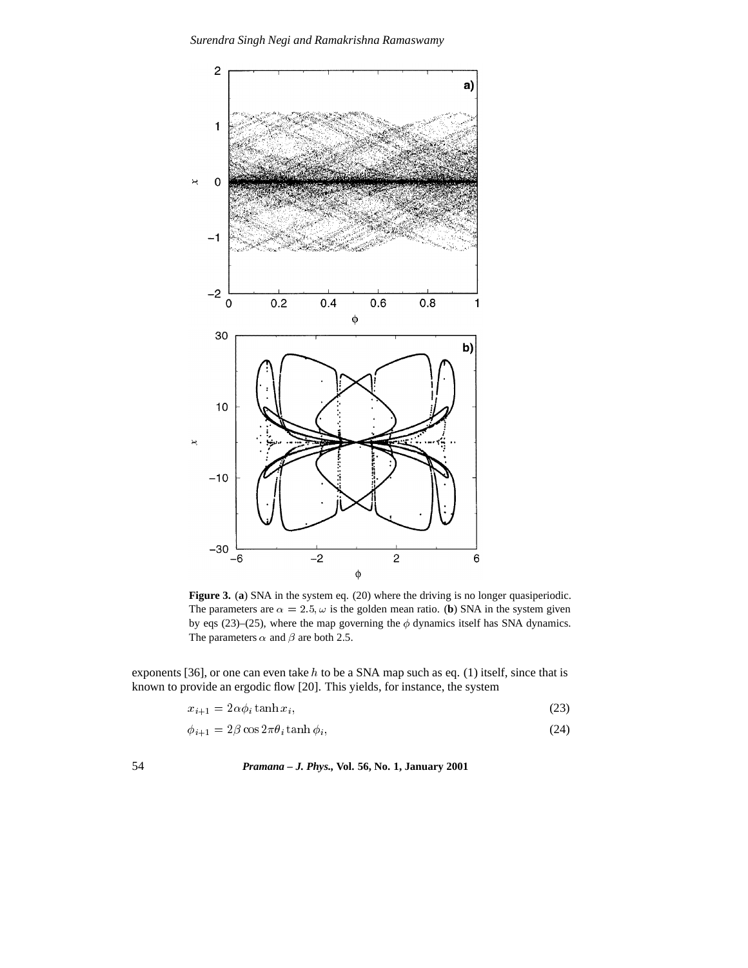

**Figure 3.** (a) SNA in the system eq. (20) where the driving is no longer quasiperiodic. The parameters are  $\alpha = 2.5$ ,  $\omega$  is the golden mean ratio. (**b**) SNA in the system given by eqs (23)–(25), where the map governing the  $\phi$  dynamics itself has SNA dynamics. The parameters  $\alpha$  and  $\beta$  are both 2.5.

exponents [36], or one can even take h to be a SNA map such as eq. (1) itself, since that is known to provide an ergodic flow [20]. This yields, for instance, the system

$$
x_{i+1} = 2\alpha \phi_i \tanh x_i,\tag{23}
$$

$$
\phi_{i+1} = 2\beta \cos 2\pi \theta_i \tanh \phi_i,\tag{24}
$$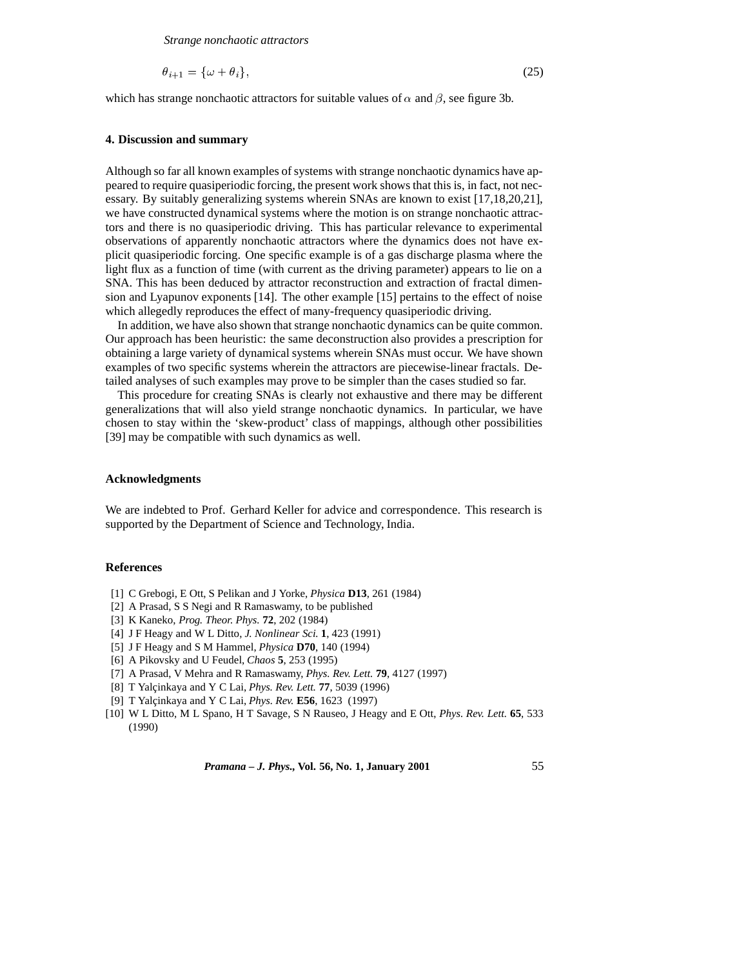*Strange nonchaotic attractors*

$$
\theta_{i+1} = \{\omega + \theta_i\},\tag{25}
$$

which has strange nonchaotic attractors for suitable values of  $\alpha$  and  $\beta$ , see figure 3b.

# **4. Discussion and summary**

Although so far all known examples of systems with strange nonchaotic dynamics have appeared to require quasiperiodic forcing, the present work shows that this is, in fact, not necessary. By suitably generalizing systems wherein SNAs are known to exist [17,18,20,21], we have constructed dynamical systems where the motion is on strange nonchaotic attractors and there is no quasiperiodic driving. This has particular relevance to experimental observations of apparently nonchaotic attractors where the dynamics does not have explicit quasiperiodic forcing. One specific example is of a gas discharge plasma where the light flux as a function of time (with current as the driving parameter) appears to lie on a SNA. This has been deduced by attractor reconstruction and extraction of fractal dimension and Lyapunov exponents [14]. The other example [15] pertains to the effect of noise which allegedly reproduces the effect of many-frequency quasiperiodic driving.

In addition, we have also shown that strange nonchaotic dynamics can be quite common. Our approach has been heuristic: the same deconstruction also provides a prescription for obtaining a large variety of dynamical systems wherein SNAs must occur. We have shown examples of two specific systems wherein the attractors are piecewise-linear fractals. Detailed analyses of such examples may prove to be simpler than the cases studied so far.

This procedure for creating SNAs is clearly not exhaustive and there may be different generalizations that will also yield strange nonchaotic dynamics. In particular, we have chosen to stay within the 'skew-product' class of mappings, although other possibilities [39] may be compatible with such dynamics as well.

#### **Acknowledgments**

We are indebted to Prof. Gerhard Keller for advice and correspondence. This research is supported by the Department of Science and Technology, India.

### **References**

- [1] C Grebogi, E Ott, S Pelikan and J Yorke, *Physica* **D13**, 261 (1984)
- [2] A Prasad, S S Negi and R Ramaswamy, to be published
- [3] K Kaneko, *Prog. Theor. Phys.* **72**, 202 (1984)
- [4] J F Heagy and W L Ditto, *J. Nonlinear Sci.* **1**, 423 (1991)
- [5] J F Heagy and S M Hammel, *Physica* **D70**, 140 (1994)
- [6] A Pikovsky and U Feudel, *Chaos* **5**, 253 (1995)
- [7] A Prasad, V Mehra and R Ramaswamy, *Phys. Rev. Lett.* **79**, 4127 (1997)
- [8] T Yalçinkaya and Y C Lai, *Phys. Rev. Lett.* **77**, 5039 (1996)
- [9] T Yalçinkaya and Y C Lai, *Phys. Rev.* **E56**, 1623 (1997)
- [10] W L Ditto, M L Spano, H T Savage, S N Rauseo, J Heagy and E Ott, *Phys. Rev. Lett.* **65**, 533 (1990)